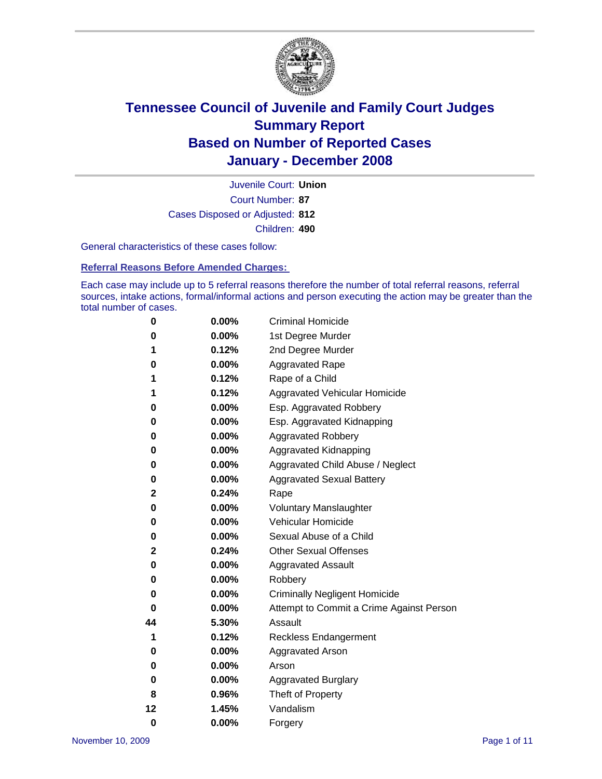

Court Number: **87** Juvenile Court: **Union** Cases Disposed or Adjusted: **812** Children: **490**

General characteristics of these cases follow:

**Referral Reasons Before Amended Charges:** 

Each case may include up to 5 referral reasons therefore the number of total referral reasons, referral sources, intake actions, formal/informal actions and person executing the action may be greater than the total number of cases.

| 0  | 0.00%    | <b>Criminal Homicide</b>                 |
|----|----------|------------------------------------------|
| 0  | 0.00%    | 1st Degree Murder                        |
| 1  | 0.12%    | 2nd Degree Murder                        |
| 0  | 0.00%    | <b>Aggravated Rape</b>                   |
| 1  | 0.12%    | Rape of a Child                          |
| 1  | 0.12%    | Aggravated Vehicular Homicide            |
| 0  | 0.00%    | Esp. Aggravated Robbery                  |
| 0  | 0.00%    | Esp. Aggravated Kidnapping               |
| 0  | 0.00%    | <b>Aggravated Robbery</b>                |
| 0  | 0.00%    | Aggravated Kidnapping                    |
| 0  | 0.00%    | Aggravated Child Abuse / Neglect         |
| 0  | 0.00%    | <b>Aggravated Sexual Battery</b>         |
| 2  | 0.24%    | Rape                                     |
| 0  | 0.00%    | <b>Voluntary Manslaughter</b>            |
| 0  | 0.00%    | Vehicular Homicide                       |
| 0  | 0.00%    | Sexual Abuse of a Child                  |
| 2  | 0.24%    | <b>Other Sexual Offenses</b>             |
| 0  | 0.00%    | <b>Aggravated Assault</b>                |
| 0  | 0.00%    | Robbery                                  |
| 0  | 0.00%    | <b>Criminally Negligent Homicide</b>     |
| 0  | 0.00%    | Attempt to Commit a Crime Against Person |
| 44 | 5.30%    | Assault                                  |
| 1  | 0.12%    | <b>Reckless Endangerment</b>             |
| 0  | $0.00\%$ | <b>Aggravated Arson</b>                  |
| 0  | 0.00%    | Arson                                    |
| 0  | 0.00%    | <b>Aggravated Burglary</b>               |
| 8  | 0.96%    | Theft of Property                        |
| 12 | 1.45%    | Vandalism                                |
| 0  | 0.00%    | Forgery                                  |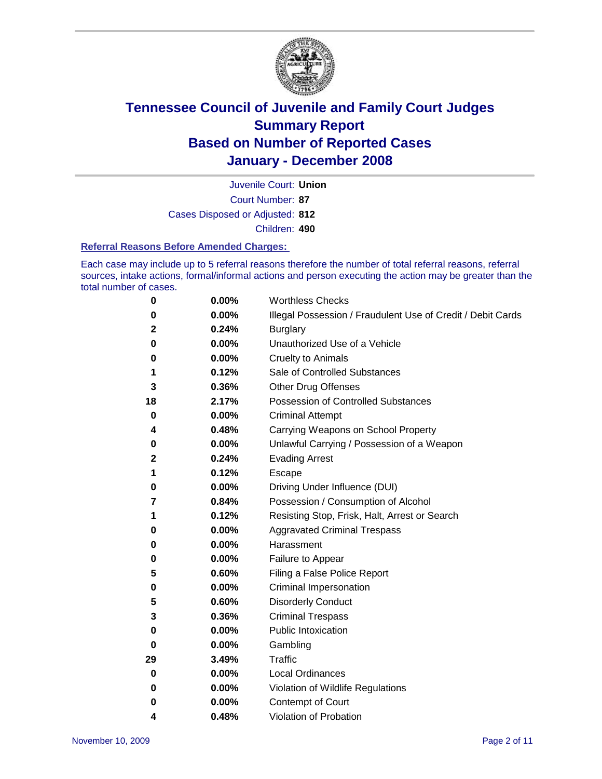

Court Number: **87** Juvenile Court: **Union** Cases Disposed or Adjusted: **812** Children: **490**

#### **Referral Reasons Before Amended Charges:**

Each case may include up to 5 referral reasons therefore the number of total referral reasons, referral sources, intake actions, formal/informal actions and person executing the action may be greater than the total number of cases.

| 0  | 0.00% | <b>Worthless Checks</b>                                     |
|----|-------|-------------------------------------------------------------|
| 0  | 0.00% | Illegal Possession / Fraudulent Use of Credit / Debit Cards |
| 2  | 0.24% | <b>Burglary</b>                                             |
| 0  | 0.00% | Unauthorized Use of a Vehicle                               |
| 0  | 0.00% | <b>Cruelty to Animals</b>                                   |
| 1  | 0.12% | Sale of Controlled Substances                               |
| 3  | 0.36% | <b>Other Drug Offenses</b>                                  |
| 18 | 2.17% | <b>Possession of Controlled Substances</b>                  |
| 0  | 0.00% | <b>Criminal Attempt</b>                                     |
| 4  | 0.48% | Carrying Weapons on School Property                         |
| 0  | 0.00% | Unlawful Carrying / Possession of a Weapon                  |
| 2  | 0.24% | <b>Evading Arrest</b>                                       |
| 1  | 0.12% | Escape                                                      |
| 0  | 0.00% | Driving Under Influence (DUI)                               |
| 7  | 0.84% | Possession / Consumption of Alcohol                         |
| 1  | 0.12% | Resisting Stop, Frisk, Halt, Arrest or Search               |
| 0  | 0.00% | <b>Aggravated Criminal Trespass</b>                         |
| 0  | 0.00% | Harassment                                                  |
| 0  | 0.00% | Failure to Appear                                           |
| 5  | 0.60% | Filing a False Police Report                                |
| 0  | 0.00% | Criminal Impersonation                                      |
| 5  | 0.60% | <b>Disorderly Conduct</b>                                   |
| 3  | 0.36% | <b>Criminal Trespass</b>                                    |
| 0  | 0.00% | <b>Public Intoxication</b>                                  |
| 0  | 0.00% | Gambling                                                    |
| 29 | 3.49% | Traffic                                                     |
| 0  | 0.00% | <b>Local Ordinances</b>                                     |
| 0  | 0.00% | Violation of Wildlife Regulations                           |
| 0  | 0.00% | <b>Contempt of Court</b>                                    |
| 4  | 0.48% | Violation of Probation                                      |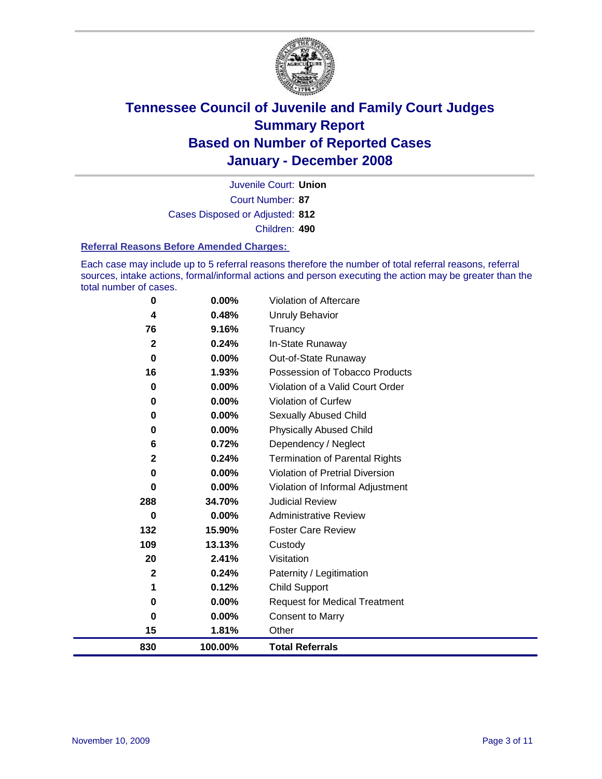

Court Number: **87** Juvenile Court: **Union** Cases Disposed or Adjusted: **812** Children: **490**

#### **Referral Reasons Before Amended Charges:**

Each case may include up to 5 referral reasons therefore the number of total referral reasons, referral sources, intake actions, formal/informal actions and person executing the action may be greater than the total number of cases.

| 0            | 0.00%    | Violation of Aftercare                |
|--------------|----------|---------------------------------------|
| 4            | 0.48%    | Unruly Behavior                       |
| 76           | 9.16%    | Truancy                               |
| $\mathbf 2$  | 0.24%    | In-State Runaway                      |
| 0            | $0.00\%$ | Out-of-State Runaway                  |
| 16           | 1.93%    | Possession of Tobacco Products        |
| 0            | 0.00%    | Violation of a Valid Court Order      |
| 0            | 0.00%    | Violation of Curfew                   |
| 0            | 0.00%    | Sexually Abused Child                 |
| $\bf{0}$     | $0.00\%$ | <b>Physically Abused Child</b>        |
| 6            | 0.72%    | Dependency / Neglect                  |
| $\mathbf{2}$ | 0.24%    | <b>Termination of Parental Rights</b> |
| 0            | $0.00\%$ | Violation of Pretrial Diversion       |
| 0            | $0.00\%$ | Violation of Informal Adjustment      |
| 288          | 34.70%   | <b>Judicial Review</b>                |
| $\bf{0}$     | 0.00%    | <b>Administrative Review</b>          |
| 132          | 15.90%   | <b>Foster Care Review</b>             |
| 109          | 13.13%   | Custody                               |
| 20           | 2.41%    | Visitation                            |
| $\mathbf{2}$ | 0.24%    | Paternity / Legitimation              |
| 1            | 0.12%    | <b>Child Support</b>                  |
| 0            | $0.00\%$ | <b>Request for Medical Treatment</b>  |
| 0            | 0.00%    | <b>Consent to Marry</b>               |
| 15           | 1.81%    | Other                                 |
| 830          | 100.00%  | <b>Total Referrals</b>                |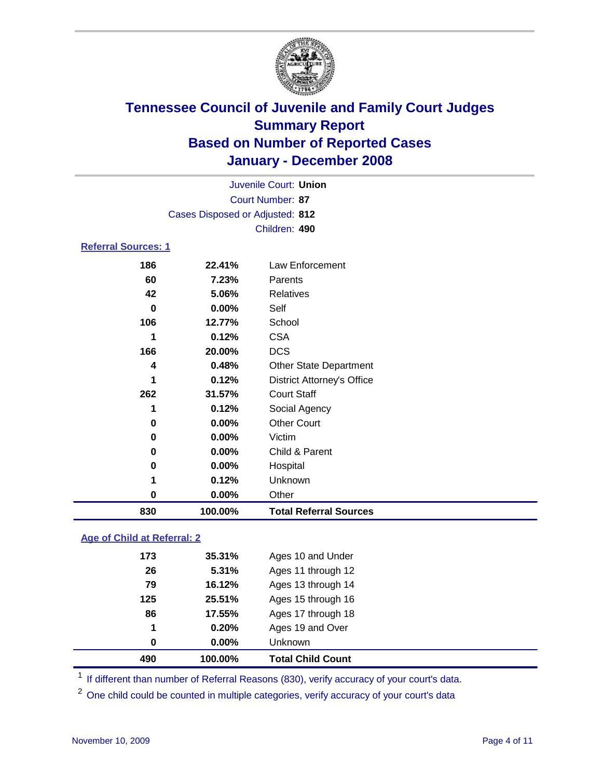

|                            |                                 | Juvenile Court: Union             |
|----------------------------|---------------------------------|-----------------------------------|
|                            |                                 | Court Number: 87                  |
|                            | Cases Disposed or Adjusted: 812 |                                   |
|                            |                                 | Children: 490                     |
| <b>Referral Sources: 1</b> |                                 |                                   |
| 186                        | 22.41%                          | Law Enforcement                   |
| 60                         | 7.23%                           | Parents                           |
| 42                         | 5.06%                           | <b>Relatives</b>                  |
| 0                          | $0.00\%$                        | Self                              |
| 106                        | 12.77%                          | School                            |
| 1                          | 0.12%                           | <b>CSA</b>                        |
| 166                        | 20.00%                          | <b>DCS</b>                        |
| 4                          | 0.48%                           | <b>Other State Department</b>     |
| 1                          | 0.12%                           | <b>District Attorney's Office</b> |
| 262                        | 31.57%                          | <b>Court Staff</b>                |
| 1                          | 0.12%                           | Social Agency                     |
| 0                          | $0.00\%$                        | <b>Other Court</b>                |
| 0                          | $0.00\%$                        | Victim                            |
| 0                          | $0.00\%$                        | Child & Parent                    |

| 830 | 100.00%  | <b>Total Referral Sources</b> |
|-----|----------|-------------------------------|
| 0   | $0.00\%$ | Other                         |
|     | 0.12%    | Unknown                       |
| 0   | $0.00\%$ | Hospital                      |

### **Age of Child at Referral: 2**

| 490 | 100.00%  | <b>Total Child Count</b> |
|-----|----------|--------------------------|
| 0   | $0.00\%$ | Unknown                  |
| 1   | 0.20%    | Ages 19 and Over         |
| 86  | 17.55%   | Ages 17 through 18       |
| 125 | 25.51%   | Ages 15 through 16       |
| 79  | 16.12%   | Ages 13 through 14       |
| 26  | 5.31%    | Ages 11 through 12       |
| 173 | 35.31%   | Ages 10 and Under        |

<sup>1</sup> If different than number of Referral Reasons (830), verify accuracy of your court's data.

<sup>2</sup> One child could be counted in multiple categories, verify accuracy of your court's data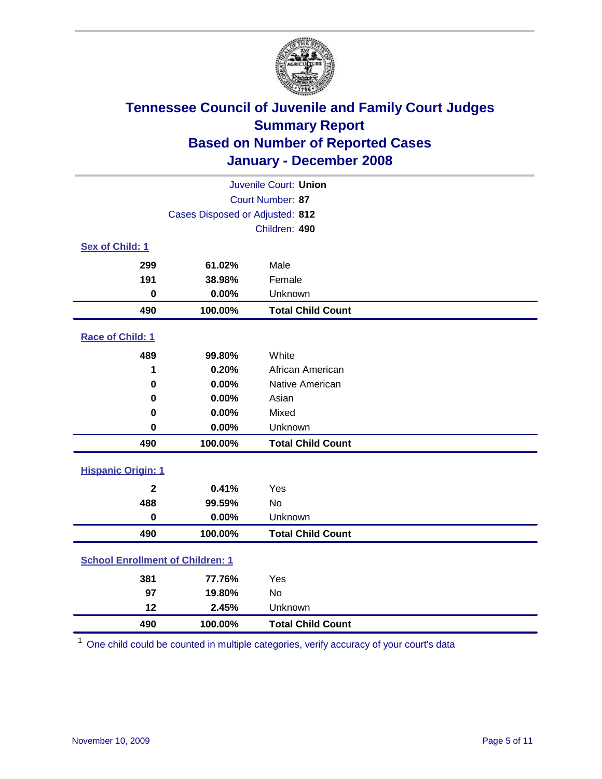

| Juvenile Court: Union                   |                                 |                          |  |  |  |
|-----------------------------------------|---------------------------------|--------------------------|--|--|--|
| Court Number: 87                        |                                 |                          |  |  |  |
|                                         | Cases Disposed or Adjusted: 812 |                          |  |  |  |
|                                         |                                 | Children: 490            |  |  |  |
| Sex of Child: 1                         |                                 |                          |  |  |  |
| 299                                     | 61.02%                          | Male                     |  |  |  |
| 191                                     | 38.98%                          | Female                   |  |  |  |
| $\bf{0}$                                | 0.00%                           | Unknown                  |  |  |  |
| 490                                     | 100.00%                         | <b>Total Child Count</b> |  |  |  |
| <b>Race of Child: 1</b>                 |                                 |                          |  |  |  |
| 489                                     | 99.80%                          | White                    |  |  |  |
| 1                                       | 0.20%                           | African American         |  |  |  |
| 0                                       | 0.00%                           | Native American          |  |  |  |
| 0                                       | 0.00%                           | Asian                    |  |  |  |
| $\mathbf 0$                             | 0.00%                           | Mixed                    |  |  |  |
| $\bf{0}$                                | 0.00%                           | Unknown                  |  |  |  |
| 490                                     | 100.00%                         | <b>Total Child Count</b> |  |  |  |
| <b>Hispanic Origin: 1</b>               |                                 |                          |  |  |  |
| $\mathbf{2}$                            | 0.41%                           | Yes                      |  |  |  |
| 488                                     | 99.59%                          | <b>No</b>                |  |  |  |
| 0                                       | 0.00%                           | Unknown                  |  |  |  |
| 490                                     | 100.00%                         | <b>Total Child Count</b> |  |  |  |
| <b>School Enrollment of Children: 1</b> |                                 |                          |  |  |  |
| 381                                     | 77.76%                          | Yes                      |  |  |  |
| 97                                      | 19.80%                          | No                       |  |  |  |
| 12                                      | 2.45%                           | Unknown                  |  |  |  |
| 490                                     | 100.00%                         | <b>Total Child Count</b> |  |  |  |

One child could be counted in multiple categories, verify accuracy of your court's data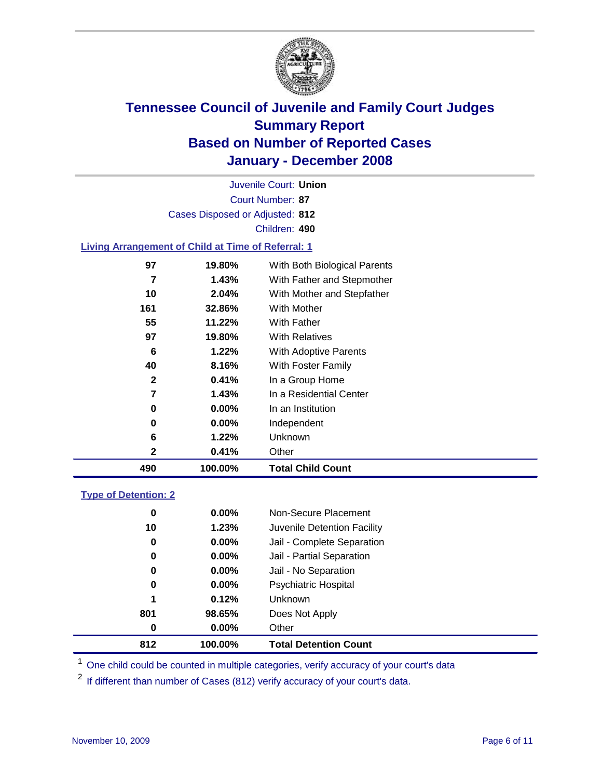

Court Number: **87** Juvenile Court: **Union** Cases Disposed or Adjusted: **812** Children: **490**

#### **Living Arrangement of Child at Time of Referral: 1**

| 490 | 100.00%  | <b>Total Child Count</b>     |
|-----|----------|------------------------------|
| 2   | 0.41%    | Other                        |
| 6   | 1.22%    | Unknown                      |
| 0   | $0.00\%$ | Independent                  |
| 0   | $0.00\%$ | In an Institution            |
| 7   | 1.43%    | In a Residential Center      |
| 2   | 0.41%    | In a Group Home              |
| 40  | 8.16%    | With Foster Family           |
| 6   | 1.22%    | <b>With Adoptive Parents</b> |
| 97  | 19.80%   | <b>With Relatives</b>        |
| 55  | 11.22%   | <b>With Father</b>           |
| 161 | 32.86%   | With Mother                  |
| 10  | 2.04%    | With Mother and Stepfather   |
| 7   | 1.43%    | With Father and Stepmother   |
| 97  | 19.80%   | With Both Biological Parents |
|     |          |                              |

#### **Type of Detention: 2**

| 812 | 100.00%  | <b>Total Detention Count</b> |  |
|-----|----------|------------------------------|--|
| 0   | $0.00\%$ | Other                        |  |
| 801 | 98.65%   | Does Not Apply               |  |
| 1   | 0.12%    | <b>Unknown</b>               |  |
| 0   | $0.00\%$ | <b>Psychiatric Hospital</b>  |  |
| 0   | $0.00\%$ | Jail - No Separation         |  |
| 0   | $0.00\%$ | Jail - Partial Separation    |  |
| 0   | $0.00\%$ | Jail - Complete Separation   |  |
| 10  | 1.23%    | Juvenile Detention Facility  |  |
| 0   | $0.00\%$ | Non-Secure Placement         |  |
|     |          |                              |  |

<sup>1</sup> One child could be counted in multiple categories, verify accuracy of your court's data

<sup>2</sup> If different than number of Cases (812) verify accuracy of your court's data.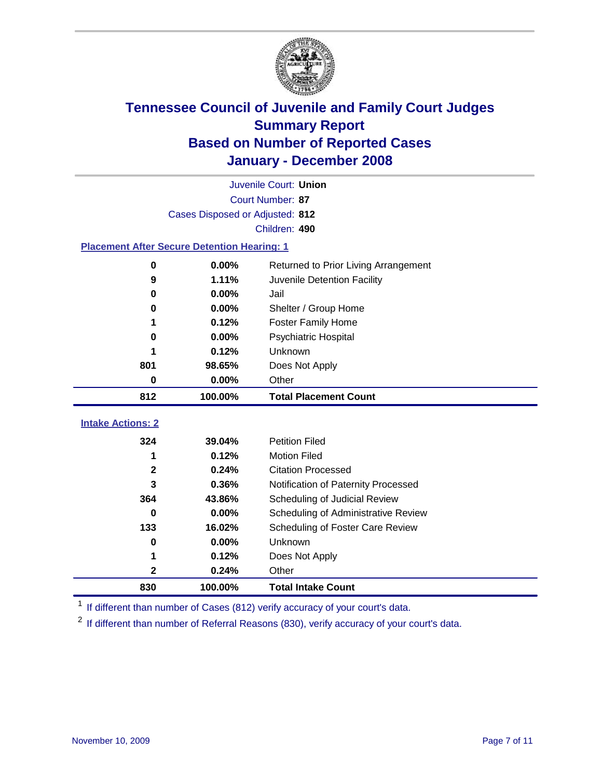

|                                                    | Juvenile Court: Union           |                                      |  |  |  |
|----------------------------------------------------|---------------------------------|--------------------------------------|--|--|--|
| Court Number: 87                                   |                                 |                                      |  |  |  |
|                                                    | Cases Disposed or Adjusted: 812 |                                      |  |  |  |
|                                                    |                                 | Children: 490                        |  |  |  |
| <b>Placement After Secure Detention Hearing: 1</b> |                                 |                                      |  |  |  |
| $\bf{0}$                                           | 0.00%                           | Returned to Prior Living Arrangement |  |  |  |
| 9                                                  | 1.11%                           | Juvenile Detention Facility          |  |  |  |
| $\bf{0}$                                           | 0.00%                           | Jail                                 |  |  |  |
| 0                                                  | 0.00%                           | Shelter / Group Home                 |  |  |  |
| 1                                                  | 0.12%                           | <b>Foster Family Home</b>            |  |  |  |
| 0                                                  | 0.00%                           | Psychiatric Hospital                 |  |  |  |
|                                                    | 0.12%                           | Unknown                              |  |  |  |
| 801                                                | 98.65%                          | Does Not Apply                       |  |  |  |
| 0                                                  | 0.00%                           | Other                                |  |  |  |
| 812                                                | 100.00%                         | <b>Total Placement Count</b>         |  |  |  |
| <b>Intake Actions: 2</b>                           |                                 |                                      |  |  |  |
|                                                    |                                 |                                      |  |  |  |
| 324                                                | 39.04%                          | <b>Petition Filed</b>                |  |  |  |
| 1                                                  | 0.12%                           | <b>Motion Filed</b>                  |  |  |  |
| $\mathbf 2$                                        | 0.24%                           | <b>Citation Processed</b>            |  |  |  |
| 3                                                  | 0.36%                           | Notification of Paternity Processed  |  |  |  |
| 364                                                | 43.86%                          | Scheduling of Judicial Review        |  |  |  |
| 0                                                  | 0.00%                           | Scheduling of Administrative Review  |  |  |  |
| 133                                                | 16.02%                          | Scheduling of Foster Care Review     |  |  |  |
| $\bf{0}$                                           | 0.00%                           | Unknown                              |  |  |  |
| 1                                                  | 0.12%                           | Does Not Apply                       |  |  |  |
| $\mathbf 2$                                        | 0.24%                           | Other                                |  |  |  |
| 830                                                | 100.00%                         | <b>Total Intake Count</b>            |  |  |  |

<sup>1</sup> If different than number of Cases (812) verify accuracy of your court's data.

<sup>2</sup> If different than number of Referral Reasons (830), verify accuracy of your court's data.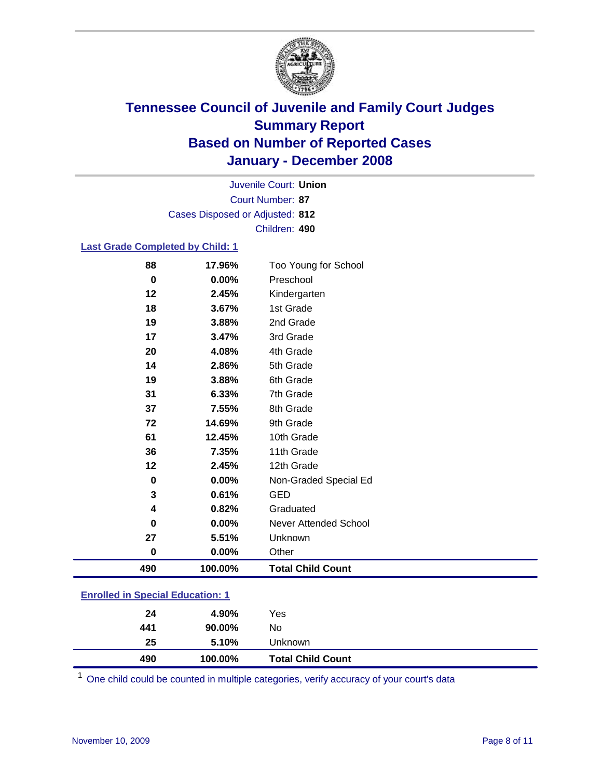

Court Number: **87** Juvenile Court: **Union** Cases Disposed or Adjusted: **812** Children: **490**

#### **Last Grade Completed by Child: 1**

| 88       | 17.96%  | Too Young for School     |
|----------|---------|--------------------------|
| $\bf{0}$ | 0.00%   | Preschool                |
| 12       | 2.45%   | Kindergarten             |
| 18       | 3.67%   | 1st Grade                |
| 19       | 3.88%   | 2nd Grade                |
| 17       | 3.47%   | 3rd Grade                |
| 20       | 4.08%   | 4th Grade                |
| 14       | 2.86%   | 5th Grade                |
| 19       | 3.88%   | 6th Grade                |
| 31       | 6.33%   | 7th Grade                |
| 37       | 7.55%   | 8th Grade                |
| 72       | 14.69%  | 9th Grade                |
| 61       | 12.45%  | 10th Grade               |
| 36       | 7.35%   | 11th Grade               |
| 12       | 2.45%   | 12th Grade               |
| $\bf{0}$ | 0.00%   | Non-Graded Special Ed    |
| 3        | 0.61%   | <b>GED</b>               |
| 4        | 0.82%   | Graduated                |
| $\bf{0}$ | 0.00%   | Never Attended School    |
| 27       | 5.51%   | Unknown                  |
| $\bf{0}$ | 0.00%   | Other                    |
| 490      | 100.00% | <b>Total Child Count</b> |

### **Enrolled in Special Education: 1**

| 490 | 100.00% | <b>Total Child Count</b> |  |
|-----|---------|--------------------------|--|
| 25  | 5.10%   | Unknown                  |  |
| 441 | 90.00%  | No                       |  |
| 24  | 4.90%   | Yes                      |  |
|     |         |                          |  |

<sup>1</sup> One child could be counted in multiple categories, verify accuracy of your court's data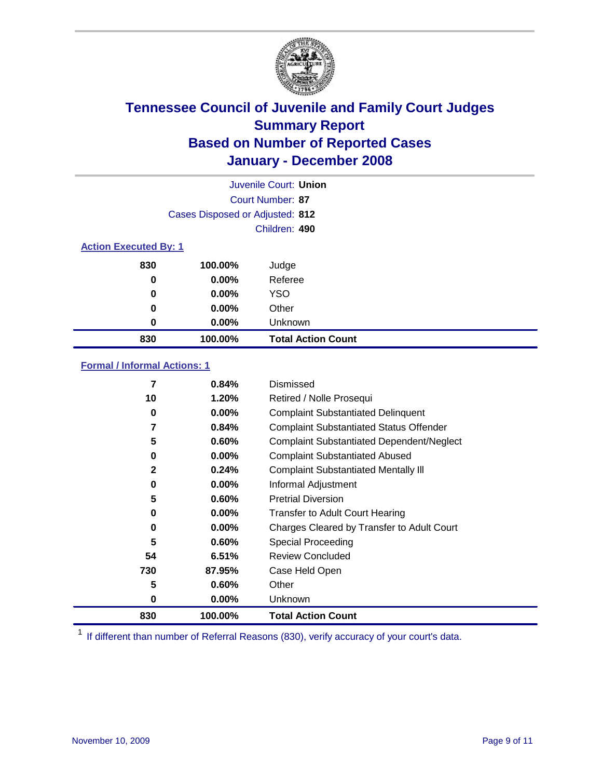

|                              |                                 | Juvenile Court: Union     |  |  |  |
|------------------------------|---------------------------------|---------------------------|--|--|--|
|                              |                                 | Court Number: 87          |  |  |  |
|                              | Cases Disposed or Adjusted: 812 |                           |  |  |  |
|                              |                                 | Children: 490             |  |  |  |
| <b>Action Executed By: 1</b> |                                 |                           |  |  |  |
| 830                          | 100.00%                         | Judge                     |  |  |  |
| 0                            | $0.00\%$                        | Referee                   |  |  |  |
| 0                            | $0.00\%$                        | <b>YSO</b>                |  |  |  |
| 0                            | $0.00\%$                        | Other                     |  |  |  |
| $\bf{0}$                     | $0.00\%$                        | Unknown                   |  |  |  |
| 830                          | 100.00%                         | <b>Total Action Count</b> |  |  |  |

### **Formal / Informal Actions: 1**

| 7            | 0.84%    | Dismissed                                        |
|--------------|----------|--------------------------------------------------|
| 10           | 1.20%    | Retired / Nolle Prosequi                         |
| 0            | $0.00\%$ | <b>Complaint Substantiated Delinquent</b>        |
| 7            | 0.84%    | <b>Complaint Substantiated Status Offender</b>   |
| 5            | 0.60%    | <b>Complaint Substantiated Dependent/Neglect</b> |
| 0            | $0.00\%$ | <b>Complaint Substantiated Abused</b>            |
| $\mathbf{2}$ | 0.24%    | <b>Complaint Substantiated Mentally III</b>      |
| 0            | $0.00\%$ | Informal Adjustment                              |
| 5            | 0.60%    | <b>Pretrial Diversion</b>                        |
| 0            | $0.00\%$ | <b>Transfer to Adult Court Hearing</b>           |
| 0            | $0.00\%$ | Charges Cleared by Transfer to Adult Court       |
| 5            | 0.60%    | Special Proceeding                               |
| 54           | 6.51%    | <b>Review Concluded</b>                          |
| 730          | 87.95%   | Case Held Open                                   |
| 5            | $0.60\%$ | Other                                            |
| 0            | $0.00\%$ | Unknown                                          |
| 830          | 100.00%  | <b>Total Action Count</b>                        |

<sup>1</sup> If different than number of Referral Reasons (830), verify accuracy of your court's data.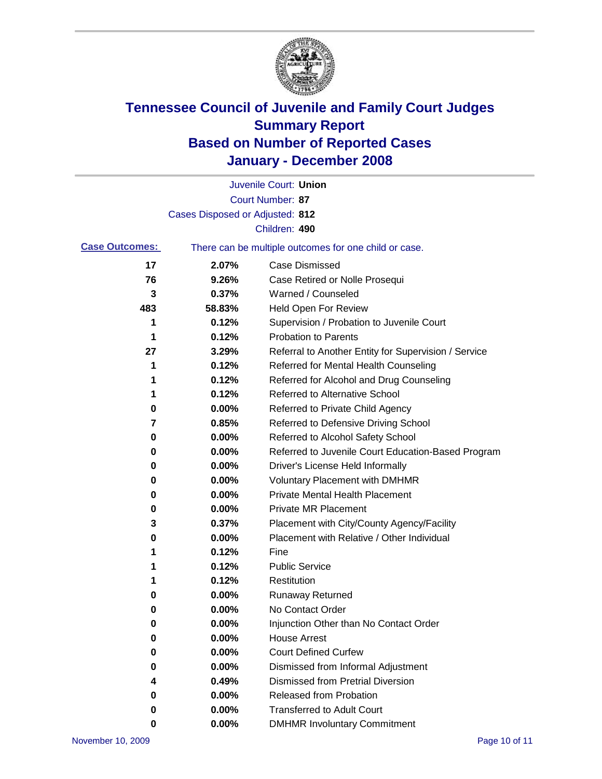

|                       |                                 | Juvenile Court: Union                                 |
|-----------------------|---------------------------------|-------------------------------------------------------|
|                       |                                 | Court Number: 87                                      |
|                       | Cases Disposed or Adjusted: 812 |                                                       |
|                       |                                 | Children: 490                                         |
| <b>Case Outcomes:</b> |                                 | There can be multiple outcomes for one child or case. |
| 17                    | 2.07%                           | Case Dismissed                                        |
| 76                    | 9.26%                           | Case Retired or Nolle Prosequi                        |
| 3                     | 0.37%                           | Warned / Counseled                                    |
| 483                   | 58.83%                          | Held Open For Review                                  |
| 1                     | 0.12%                           | Supervision / Probation to Juvenile Court             |
| 1                     | 0.12%                           | <b>Probation to Parents</b>                           |
| 27                    | 3.29%                           | Referral to Another Entity for Supervision / Service  |
| 1                     | 0.12%                           | Referred for Mental Health Counseling                 |
| 1                     | 0.12%                           | Referred for Alcohol and Drug Counseling              |
| 1                     | 0.12%                           | <b>Referred to Alternative School</b>                 |
| 0                     | 0.00%                           | Referred to Private Child Agency                      |
| 7                     | 0.85%                           | Referred to Defensive Driving School                  |
| 0                     | 0.00%                           | Referred to Alcohol Safety School                     |
| 0                     | 0.00%                           | Referred to Juvenile Court Education-Based Program    |
| 0                     | 0.00%                           | Driver's License Held Informally                      |
| 0                     | 0.00%                           | <b>Voluntary Placement with DMHMR</b>                 |
| 0                     | 0.00%                           | <b>Private Mental Health Placement</b>                |
| 0                     | 0.00%                           | <b>Private MR Placement</b>                           |
| 3                     | 0.37%                           | Placement with City/County Agency/Facility            |
| 0                     | 0.00%                           | Placement with Relative / Other Individual            |
| 1                     | 0.12%                           | Fine                                                  |
| 1                     | 0.12%                           | <b>Public Service</b>                                 |
| 1                     | 0.12%                           | Restitution                                           |
| 0                     | 0.00%                           | <b>Runaway Returned</b>                               |
| 0                     | 0.00%                           | No Contact Order                                      |
| 0                     | 0.00%                           | Injunction Other than No Contact Order                |
| 0                     | 0.00%                           | <b>House Arrest</b>                                   |
| 0                     | 0.00%                           | <b>Court Defined Curfew</b>                           |
| 0                     | 0.00%                           | Dismissed from Informal Adjustment                    |
| 4                     | 0.49%                           | <b>Dismissed from Pretrial Diversion</b>              |
| 0                     | 0.00%                           | Released from Probation                               |
| 0                     | 0.00%                           | <b>Transferred to Adult Court</b>                     |
| 0                     | 0.00%                           | <b>DMHMR Involuntary Commitment</b>                   |